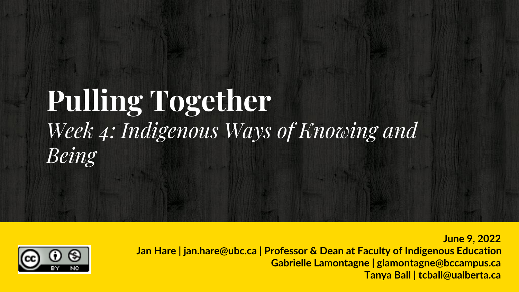## **Pulling Together** *Week 4: Indigenous Ways of Knowing and Being*



**Jan Hare | jan.hare@ubc.ca | Professor & Dean at Faculty of Indigenous Education Gabrielle Lamontagne | glamontagne@bccampus.ca Tanya Ball | tcball@ualberta.ca**

**June 9, 2022**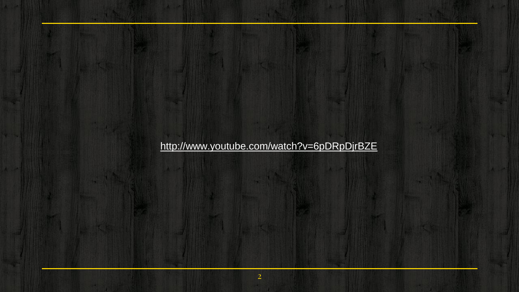#### <http://www.youtube.com/watch?v=6pDRpDjrBZE>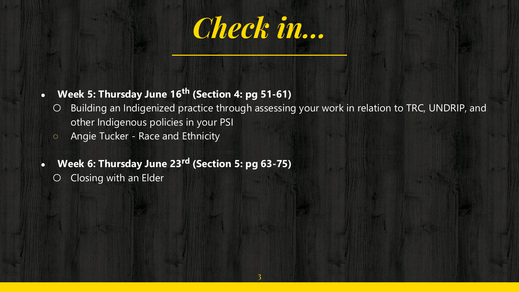

#### ● **Week 5: Thursday June 16th (Section 4: pg 51-61)**

- Building an Indigenized practice through assessing your work in relation to TRC, UNDRIP, and other Indigenous policies in your PSI
- Angie Tucker Race and Ethnicity
- **Week 6: Thursday June 23rd (Section 5: pg 63-75)**
	- Closing with an Elder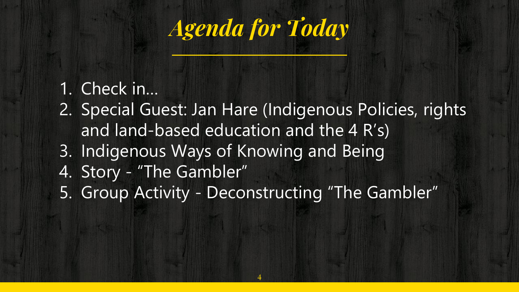*Agenda for Today*

#### 1. Check in…

- 2. Special Guest: Jan Hare (Indigenous Policies, rights and land-based education and the 4 R's)
- 3. Indigenous Ways of Knowing and Being
- 4. Story "The Gambler"
- 5. Group Activity Deconstructing "The Gambler"

4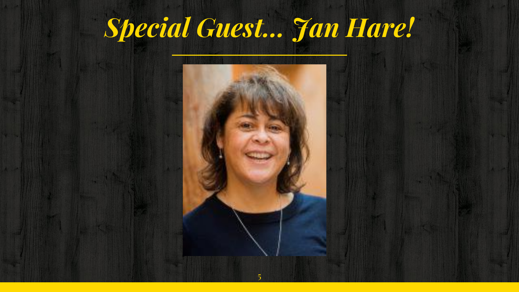## *Special Guest… Jan Hare!*

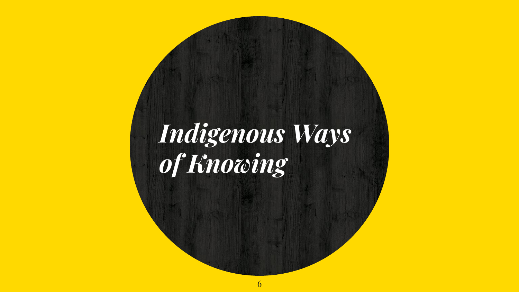## *Indigenous Ways of Knowing*

6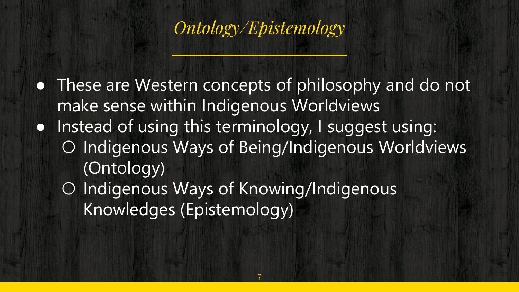

• These are Western concepts of philosophy and do not make sense within Indigenous Worldviews ● Instead of using this terminology, I suggest using: ○ Indigenous Ways of Being/Indigenous Worldviews (Ontology) ○ Indigenous Ways of Knowing/Indigenous Knowledges (Epistemology)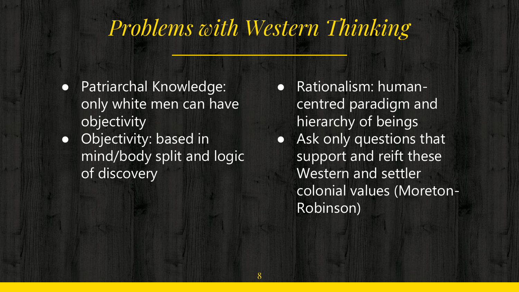#### *Problems with Western Thinking*

- Patriarchal Knowledge: only white men can have objectivity
- Objectivity: based in mind/body split and logic of discovery
- Rationalism: humancentred paradigm and hierarchy of beings ● Ask only questions that support and reift these Western and settler colonial values (Moreton-Robinson)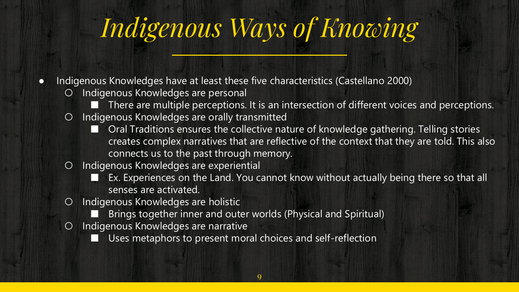## *Indigenous Ways of Knowing*

- Indigenous Knowledges have at least these five characteristics (Castellano 2000)
	- Indigenous Knowledges are personal
		- There are multiple perceptions. It is an intersection of different voices and perceptions.
	- Indigenous Knowledges are orally transmitted
		- Oral Traditions ensures the collective nature of knowledge gathering. Telling stories creates complex narratives that are reflective of the context that they are told. This also connects us to the past through memory.
	- Indigenous Knowledges are experiential
		- Ex. Experiences on the Land. You cannot know without actually being there so that all senses are activated.
	- Indigenous Knowledges are holistic
		- Brings together inner and outer worlds (Physical and Spiritual)
	- Indigenous Knowledges are narrative
		- Uses metaphors to present moral choices and self-reflection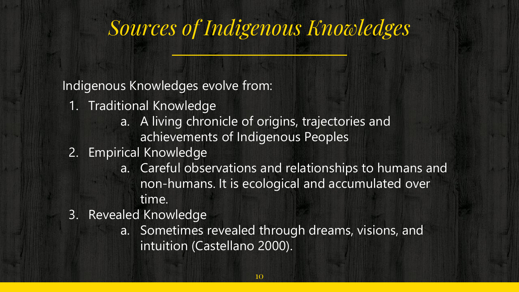#### *Sources of Indigenous Knowledges*

Indigenous Knowledges evolve from:

- 1. Traditional Knowledge
	- a. A living chronicle of origins, trajectories and achievements of Indigenous Peoples
- 2. Empirical Knowledge
	- a. Careful observations and relationships to humans and non-humans. It is ecological and accumulated over time.
- 3. Revealed Knowledge
	- a. Sometimes revealed through dreams, visions, and intuition (Castellano 2000).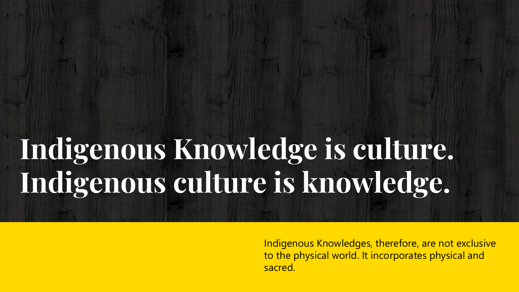# **Indigenous Knowledge is culture. Indigenous culture is knowledge.**

Indigenous Knowledges, therefore, are not exclusive to the physical world. It incorporates physical and sacred.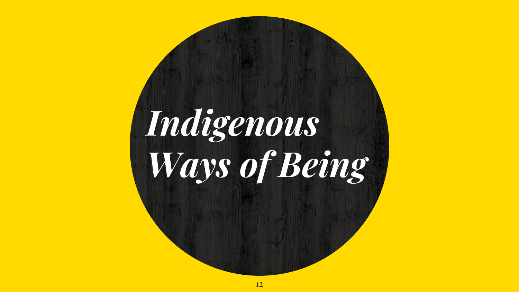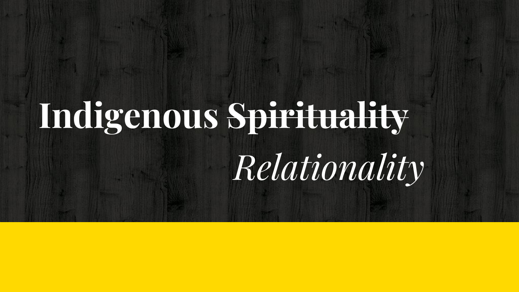# **Indigenous Spirituality** *Relationality*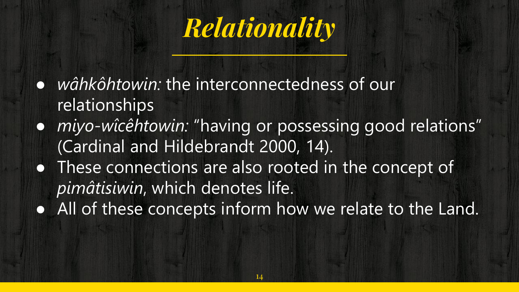

- *wâhkôhtowin:* the interconnectedness of our relationships
- *miyo-wîcêhtowin:* "having or possessing good relations" (Cardinal and Hildebrandt 2000, 14).
- These connections are also rooted in the concept of *pimâtisiwin*, which denotes life.
- All of these concepts inform how we relate to the Land.

14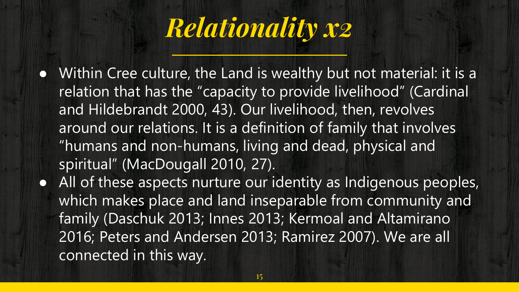

- Within Cree culture, the Land is wealthy but not material: it is a relation that has the "capacity to provide livelihood" (Cardinal and Hildebrandt 2000, 43). Our livelihood, then, revolves around our relations. It is a definition of family that involves "humans and non-humans, living and dead, physical and spiritual" (MacDougall 2010, 27).
- All of these aspects nurture our identity as Indigenous peoples, which makes place and land inseparable from community and family (Daschuk 2013; Innes 2013; Kermoal and Altamirano 2016; Peters and Andersen 2013; Ramirez 2007). We are all connected in this way.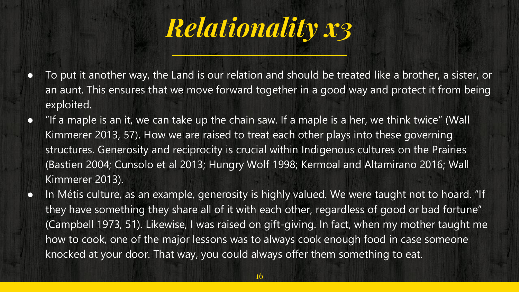

- To put it another way, the Land is our relation and should be treated like a brother, a sister, or an aunt. This ensures that we move forward together in a good way and protect it from being exploited.
- "If a maple is an it, we can take up the chain saw. If a maple is a her, we think twice" (Wall Kimmerer 2013, 57). How we are raised to treat each other plays into these governing structures. Generosity and reciprocity is crucial within Indigenous cultures on the Prairies (Bastien 2004; Cunsolo et al 2013; Hungry Wolf 1998; Kermoal and Altamirano 2016; Wall Kimmerer 2013).
- In Métis culture, as an example, generosity is highly valued. We were taught not to hoard. "If they have something they share all of it with each other, regardless of good or bad fortune" (Campbell 1973, 51). Likewise, I was raised on gift-giving. In fact, when my mother taught me how to cook, one of the major lessons was to always cook enough food in case someone knocked at your door. That way, you could always offer them something to eat.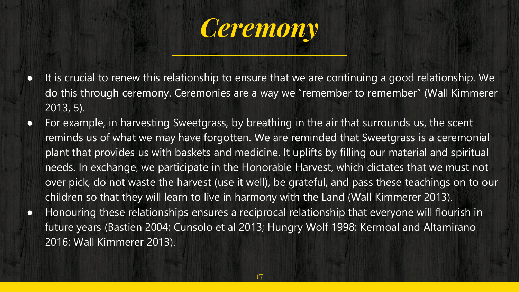

- It is crucial to renew this relationship to ensure that we are continuing a good relationship. We do this through ceremony. Ceremonies are a way we "remember to remember" (Wall Kimmerer 2013, 5).
- For example, in harvesting Sweetgrass, by breathing in the air that surrounds us, the scent reminds us of what we may have forgotten. We are reminded that Sweetgrass is a ceremonial plant that provides us with baskets and medicine. It uplifts by filling our material and spiritual needs. In exchange, we participate in the Honorable Harvest, which dictates that we must not over pick, do not waste the harvest (use it well), be grateful, and pass these teachings on to our children so that they will learn to live in harmony with the Land (Wall Kimmerer 2013).
- Honouring these relationships ensures a reciprocal relationship that everyone will flourish in future years (Bastien 2004; Cunsolo et al 2013; Hungry Wolf 1998; Kermoal and Altamirano 2016; Wall Kimmerer 2013).

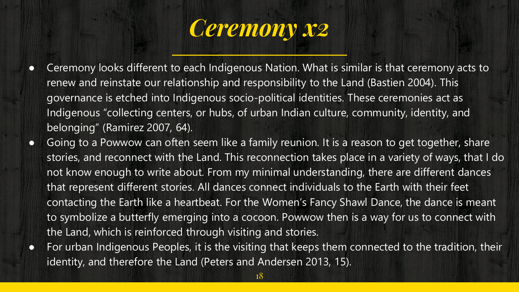

- Ceremony looks different to each Indigenous Nation. What is similar is that ceremony acts to renew and reinstate our relationship and responsibility to the Land (Bastien 2004). This governance is etched into Indigenous socio-political identities. These ceremonies act as Indigenous "collecting centers, or hubs, of urban Indian culture, community, identity, and belonging" (Ramirez 2007, 64).
- Going to a Powwow can often seem like a family reunion. It is a reason to get together, share stories, and reconnect with the Land. This reconnection takes place in a variety of ways, that I do not know enough to write about. From my minimal understanding, there are different dances that represent different stories. All dances connect individuals to the Earth with their feet contacting the Earth like a heartbeat. For the Women's Fancy Shawl Dance, the dance is meant to symbolize a butterfly emerging into a cocoon. Powwow then is a way for us to connect with the Land, which is reinforced through visiting and stories.
- For urban Indigenous Peoples, it is the visiting that keeps them connected to the tradition, their identity, and therefore the Land (Peters and Andersen 2013, 15).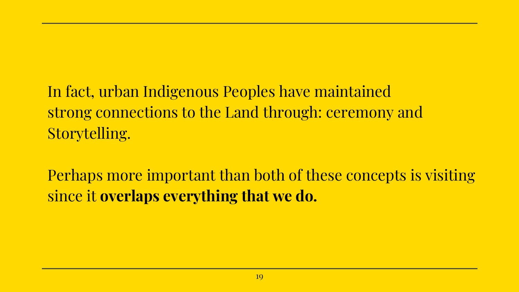In fact, urban Indigenous Peoples have maintained strong connections to the Land through: ceremony and Storytelling.

Perhaps more important than both of these concepts is visiting since it **overlaps everything that we do.**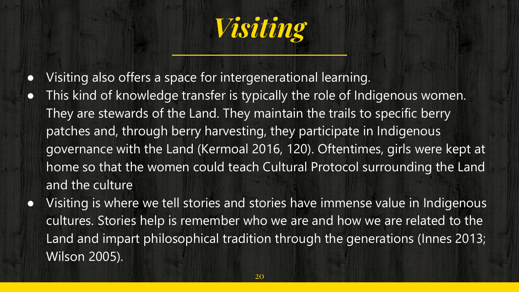

- Visiting also offers a space for intergenerational learning.
- This kind of knowledge transfer is typically the role of Indigenous women. They are stewards of the Land. They maintain the trails to specific berry patches and, through berry harvesting, they participate in Indigenous governance with the Land (Kermoal 2016, 120). Oftentimes, girls were kept at home so that the women could teach Cultural Protocol surrounding the Land and the culture
- Visiting is where we tell stories and stories have immense value in Indigenous cultures. Stories help is remember who we are and how we are related to the Land and impart philosophical tradition through the generations (Innes 2013; Wilson 2005).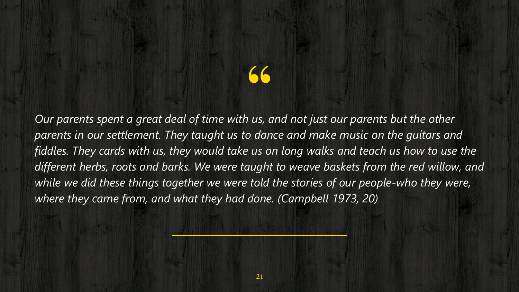*Our parents spent a great deal of time with us, and not just our parents but the other*  " *parents in our settlement. They taught us to dance and make music on the guitars and fiddles. They cards with us, they would take us on long walks and teach us how to use the different herbs, roots and barks. We were taught to weave baskets from the red willow, and while we did these things together we were told the stories of our people-who they were, where they came from, and what they had done. (Campbell 1973, 20)*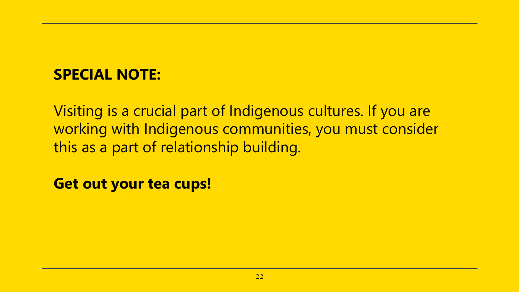#### **SPECIAL NOTE:**

Visiting is a crucial part of Indigenous cultures. If you are working with Indigenous communities, you must consider this as a part of relationship building.

**Get out your tea cups!**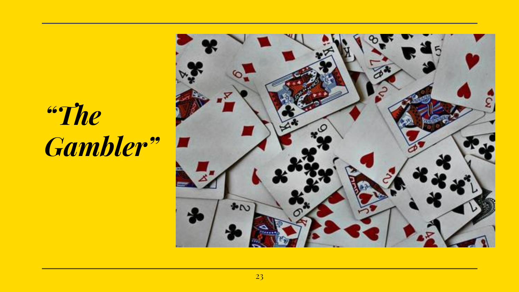## *"The Gambler"*

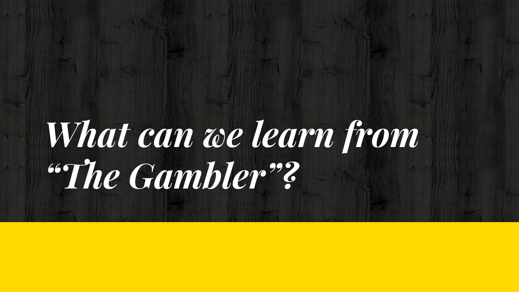# *What can we learn from "The Gambler"?*